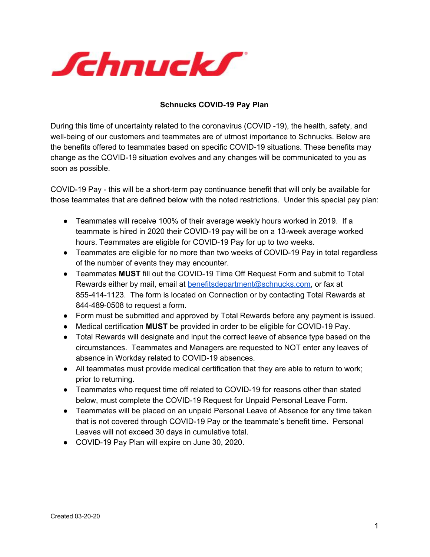

## **Schnucks COVID-19 Pay Plan**

During this time of uncertainty related to the coronavirus (COVID -19), the health, safety, and well-being of our customers and teammates are of utmost importance to Schnucks. Below are the benefits offered to teammates based on specific COVID-19 situations. These benefits may change as the COVID-19 situation evolves and any changes will be communicated to you as soon as possible.

COVID-19 Pay - this will be a short-term pay continuance benefit that will only be available for those teammates that are defined below with the noted restrictions. Under this special pay plan:

- Teammates will receive 100% of their average weekly hours worked in 2019. If a teammate is hired in 2020 their COVID-19 pay will be on a 13-week average worked hours. Teammates are eligible for COVID-19 Pay for up to two weeks.
- Teammates are eligible for no more than two weeks of COVID-19 Pay in total regardless of the number of events they may encounter.
- Teammates **MUST** fill out the COVID-19 Time Off Request Form and submit to Total Rewards either by mail, email at benefitsdepartment@schnucks.com, or fax at 855-414-1123. The form is located on Connection or by contacting Total Rewards at 844-489-0508 to request a form.
- Form must be submitted and approved by Total Rewards before any payment is issued.
- Medical certification **MUST** be provided in order to be eligible for COVID-19 Pay.
- Total Rewards will designate and input the correct leave of absence type based on the circumstances. Teammates and Managers are requested to NOT enter any leaves of absence in Workday related to COVID-19 absences.
- All teammates must provide medical certification that they are able to return to work; prior to returning.
- Teammates who request time off related to COVID-19 for reasons other than stated below, must complete the COVID-19 Request for Unpaid Personal Leave Form.
- Teammates will be placed on an unpaid Personal Leave of Absence for any time taken that is not covered through COVID-19 Pay or the teammate's benefit time. Personal Leaves will not exceed 30 days in cumulative total.
- COVID-19 Pay Plan will expire on June 30, 2020.